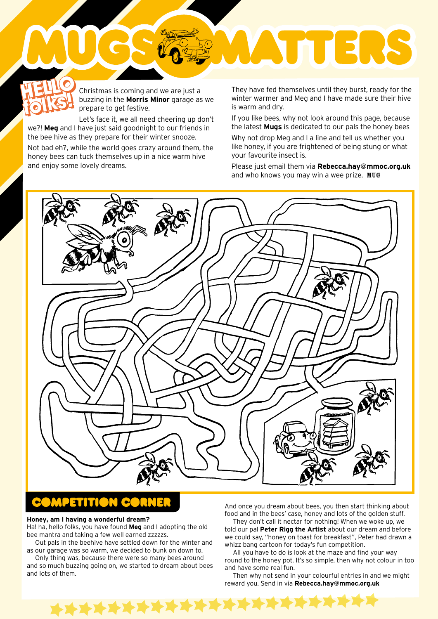## Christmas is coming and we are just a buzzing in the **Morris Minor** garage as we prepare to get festive. **HELLO HELLO**

Let's face it, we all need cheering up don't we?! **Meg** and I have just said goodnight to our friends in the bee hive as they prepare for their winter snooze. **folks!**

Not bad eh?, while the world goes crazy around them, the honey bees can tuck themselves up in a nice warm hive and enjoy some lovely dreams.

**folks in the Morris of the Morris Minor** garage as we **the morris of the morris of the morris of the morris of the morris of the morris winter warmer and Meg and I have made sure their hive<br>
<b>Folks of the Morris Minor** ga winter warmer and Meg and I have made sure their hive is warm and dry.

**THERE** 

If you like bees, why not look around this page, because the latest **Mugs** is dedicated to our pals the honey bees

Why not drop Meg and I a line and tell us whether you like honey, if you are frightened of being stung or what your favourite insect is.

Please just email them via **Rebecca.hay@mmoc.org.uk** and who knows you may win a wee prize. MUG



## **Honey, am I having a wonderful dream?**

Ha! ha, hello folks, you have found **Meg** and I adopting the old bee mantra and taking a few well earned zzzzzs.

Out pals in the beehive have settled down for the winter and as our garage was so warm, we decided to bunk on down to.

Only thing was, because there were so many bees around and so much buzzing going on, we started to dream about bees and lots of them.

And once you dream about bees, you then start thinking about food and in the bees' case, honey and lots of the golden stuff.

They don't call it nectar for nothing! When we woke up, we told our pal **Peter Rigg the Artist** about our dream and before we could say, "honey on toast for breakfast'', Peter had drawn a whizz bang cartoon for today's fun competition.

All you have to do is look at the maze and find your way round to the honey pot. It's so simple, then why not colour in too and have some real fun.

Then why not send in your colourful entries in and we might reward you. Send in via **Rebecca.hay@mmoc.org.uk**